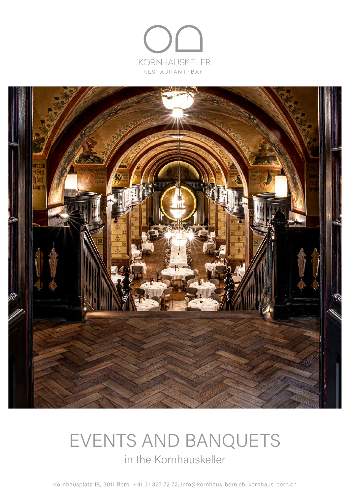



# EVENTS AND BANQUETS in the Kornhauskeller

Kornhausplatz 18, 3011 Bern, +41 31 327 72 72, info@kornhaus-bern.ch, kornhaus-bern.ch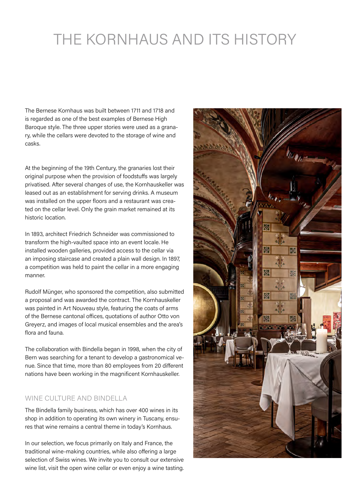# THE KORNHAUS AND ITS HISTORY

The Bernese Kornhaus was built between 1711 and 1718 and is regarded as one of the best examples of Bernese High Baroque style. The three upper stories were used as a granary, while the cellars were devoted to the storage of wine and casks.

At the beginning of the 19th Century, the granaries lost their original purpose when the provision of foodstuffs was largely privatised. After several changes of use, the Kornhauskeller was leased out as an establishment for serving drinks. A museum was installed on the upper floors and a restaurant was created on the cellar level. Only the grain market remained at its historic location.

In 1893, architect Friedrich Schneider was commissioned to transform the high-vaulted space into an event locale. He installed wooden galleries, provided access to the cellar via an imposing staircase and created a plain wall design. In 1897, a competition was held to paint the cellar in a more engaging manner.

Rudolf Münger, who sponsored the competition, also submitted a proposal and was awarded the contract. The Kornhauskeller was painted in Art Nouveau style, featuring the coats of arms of the Bernese cantonal offices, quotations of author Otto von Greyerz, and images of local musical ensembles and the area's flora and fauna.

The collaboration with Bindella began in 1998, when the city of Bern was searching for a tenant to develop a gastronomical venue. Since that time, more than 80 employees from 20 different nations have been working in the magnificent Kornhauskeller.

## WINE CULTURE AND BINDELLA

The Bindella family business, which has over 400 wines in its shop in addition to operating its own winery in Tuscany, ensures that wine remains a central theme in today's Kornhaus.

In our selection, we focus primarily on Italy and France, the traditional wine-making countries, while also offering a large selection of Swiss wines. We invite you to consult our extensive wine list, visit the open wine cellar or even enjoy a wine tasting.

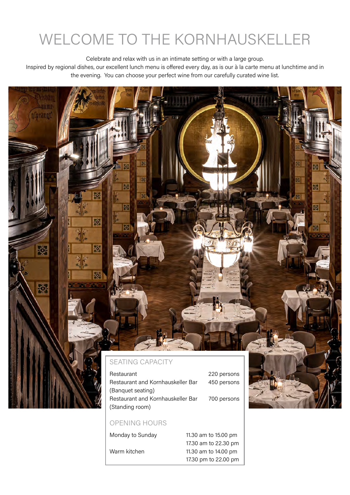# WELCOME TO THE KORNHAUSKELLER

Celebrate and relax with us in an intimate setting or with a large group.

Inspired by regional dishes, our excellent lunch menu is offered every day, as is our à la carte menu at lunchtime and in the evening. You can choose your perfect wine from our carefully curated wine list.

# Am a (brangt) R 隊 ख्रा 屦 18 M. 廢 辱 熙 ರ್ಥ್ 85 **BE** SEATING CAPACITY Restaurant 220 persons Restaurant and Kornhauskeller Bar 450 persons (Banquet seating) Restaurant and Kornhauskeller Bar 700 persons (Standing room)

# OPENING HOURS

Monday to Sunday 11.30 am to 15.00 pm 17.30 am to 22.30 pm Warm kitchen 11.30 am to 14.00 pm 17.30 pm to 22.00 pm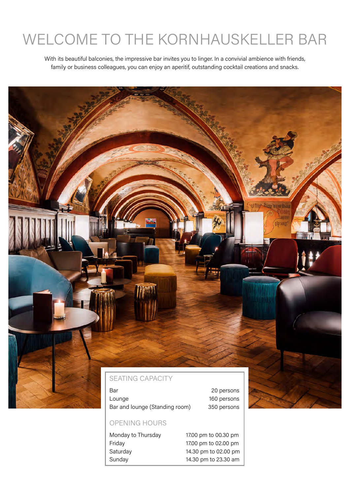# WELCOME TO THE KORNHAUSKELLER BAR

With its beautiful balconies, the impressive bar invites you to linger. In a convivial ambience with friends, family or business colleagues, you can enjoy an aperitif, outstanding cocktail creations and snacks.

# SEATING CAPACITY Bar 20 persons Lounge 160 persons Bar and lounge (Standing room) 350 persons

# OPENING HOURS

Monday to Thursday 17.00 pm to 00.30 pm Friday 17.00 pm to 02.00 pm Saturday 14.30 pm to 02.00 pm Sunday 14.30 pm to 23.30 am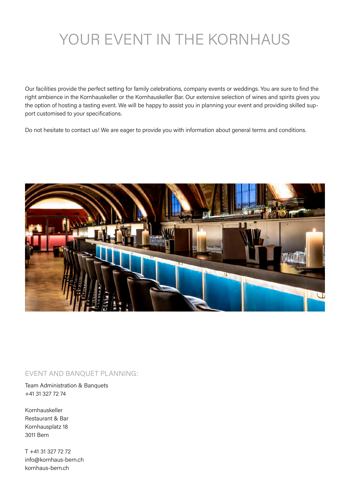# YOUR EVENT IN THE KORNHAUS

Our facilities provide the perfect setting for family celebrations, company events or weddings. You are sure to find the right ambience in the Kornhauskeller or the Kornhauskeller Bar. Our extensive selection of wines and spirits gives you the option of hosting a tasting event. We will be happy to assist you in planning your event and providing skilled support customised to your specifications.

Do not hesitate to contact us! We are eager to provide you with information about general terms and conditions.



## EVENT AND BANQUET PLANNING:

Team Administration & Banquets +41 31 327 72 74

Kornhauskeller Restaurant & Bar Kornhausplatz 18 3011 Bern

T +41 31 327 72 72 info@kornhaus-bern.ch kornhaus-bern.ch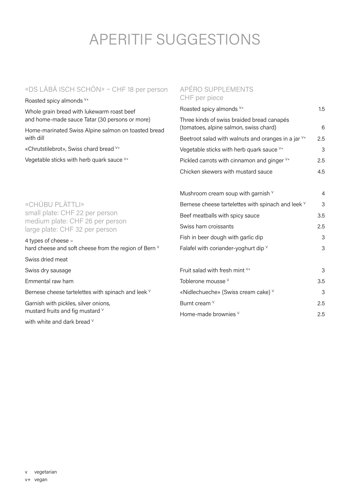# APERITIF SUGGESTIONS

# «DS LÄBÄ ISCH SCHÖN» – CHF 18 per person

Roasted spicy almonds V+

Whole grain bread with lukewarm roast beef and home-made sauce Tatar (30 persons or more)

Home-marinated Swiss Alpine salmon on toasted bread with dill

«Chrutstilebrot», Swiss chard bread V+

Vegetable sticks with herb quark sauce V+

## APÉRO SUPPLEMENTS CHF per piece

| Roasted spicy almonds V+                                                             | 1.5 |
|--------------------------------------------------------------------------------------|-----|
| Three kinds of swiss braided bread canapés<br>(tomatoes, alpine salmon, swiss chard) | 6   |
| Beetroot salad with walnuts and oranges in a jar $V^+$                               | 2.5 |
| Vegetable sticks with herb quark sauce $V^+$                                         | 3   |
| Pickled carrots with cinnamon and ginger V+                                          | 2.5 |
| Chicken skewers with mustard sauce                                                   | 4.5 |

Mushroom cream soup with garnish  $\sqrt{4}$ 

| «CHÜBU PLÄTTLI»                                                   | Bernese cheese tartelettes with spinach and leek V | 3   |
|-------------------------------------------------------------------|----------------------------------------------------|-----|
| small plate: CHF 22 per person<br>medium plate: CHF 26 per person | Beef meatballs with spicy sauce                    | 3.5 |
| large plate: CHF 32 per person                                    | Swiss ham croissants                               | 2.5 |
| 4 types of cheese -                                               | Fish in beer dough with garlic dip                 | З   |
| hard cheese and soft cheese from the region of Bern V             | Falafel with coriander-yoghurt dip V               | 3   |
| Swiss dried meat                                                  |                                                    |     |
| Swiss dry sausage                                                 | Fruit salad with fresh mint $V^+$                  | 3   |
| Emmental raw ham                                                  | Toblerone mousse V                                 | 3.5 |
| Bernese cheese tartelettes with spinach and leek V                | «Nidlechueche» (Swiss cream cake) V                | 3   |
| Garnish with pickles, silver onions,                              | Burnt cream V                                      | 2.5 |
| mustard fruits and fig mustard V                                  | Home-made brownies V                               | 2.5 |
| with white and dark bread V                                       |                                                    |     |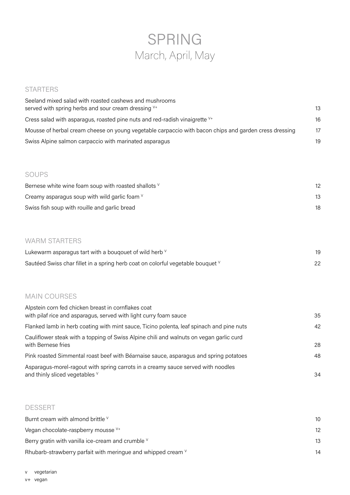# SPRING March, April, May

# **STARTERS**

| Seeland mixed salad with roasted cashews and mushrooms<br>served with spring herbs and sour cream dressing V <sup>+</sup> | 13 |
|---------------------------------------------------------------------------------------------------------------------------|----|
| Cress salad with asparagus, roasted pine nuts and red-radish vinaigrette $V^+$                                            | 16 |
| Mousse of herbal cream cheese on young vegetable carpaccio with bacon chips and garden cress dressing                     | 17 |
| Swiss Alpine salmon carpaccio with marinated asparagus                                                                    | 19 |

# SOUPS

| Bernese white wine foam soup with roasted shallots V | 12 |
|------------------------------------------------------|----|
| Creamy asparagus soup with wild garlic foam $\vee$   | 13 |
| Swiss fish soup with rouille and garlic bread        | 18 |

# WARM STARTERS

| Lukewarm asparagus tart with a bouqouet of wild herb v                          |    |
|---------------------------------------------------------------------------------|----|
| Sautéed Swiss char fillet in a spring herb coat on colorful vegetable bouquet V | 22 |

## MAIN COURSES

| Alpstein corn fed chicken breast in cornflakes coat<br>with pilaf rice and asparagus, served with light curry foam sauce | 35 |
|--------------------------------------------------------------------------------------------------------------------------|----|
| Flanked lamb in herb coating with mint sauce, Ticino polenta, leaf spinach and pine nuts                                 | 42 |
| Cauliflower steak with a topping of Swiss Alpine chili and walnuts on vegan garlic curd<br>with Bernese fries            | 28 |
| Pink roasted Simmental roast beef with Béarnaise sauce, asparagus and spring potatoes                                    | 48 |
| Asparagus-morel-ragout with spring carrots in a creamy sauce served with noodles<br>and thinly sliced vegetables V       | 34 |

## DESSERT

| Burnt cream with almond brittle V                            | 10              |
|--------------------------------------------------------------|-----------------|
| Vegan chocolate-raspberry mousse V <sup>+</sup>              | 12 <sup>°</sup> |
| Berry gratin with vanilla ice-cream and crumble $\vee$       | 13              |
| Rhubarb-strawberry parfait with meringue and whipped cream V | 14              |

v vegetarian v+ vegan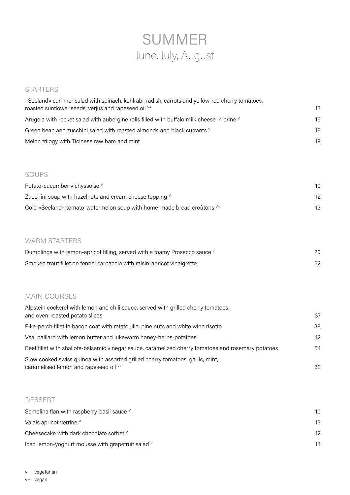# SUMMER June, July, August

## **STARTERS**

| «Seeland» summer salad with spinach, kohlrabi, radish, carrots and yellow-red cherry tomatoes,<br>roasted sunflower seeds, verjus and rapeseed oil V+ |    |
|-------------------------------------------------------------------------------------------------------------------------------------------------------|----|
| Arugola with rocket salad with aubergine rolls filled with buffalo milk cheese in brine V                                                             | 16 |
| Green bean and zucchini salad with roasted almonds and black currants V                                                                               | 18 |
| Melon trilogy with Ticinese raw ham and mint                                                                                                          | 19 |

## SOUPS

| Potato-cucumber vichyssoise V                                                     | 10 |
|-----------------------------------------------------------------------------------|----|
| Zucchini soup with hazelnuts and cream cheese topping $V$                         | 12 |
| Cold «Seeland» tomato-watermelon soup with home-made bread croûtons <sup>V+</sup> | 13 |

# WARM STARTERS

| Dumplings with lemon-apricot filling, served with a foamy Prosecco sauce V | 20 |
|----------------------------------------------------------------------------|----|
| Smoked trout fillet on fennel carpaccio with raisin-apricot vinaigrette    | 22 |

# MAIN COURSES

| Alpstein cockerel with lemon and chili sauce, served with grilled cherry tomatoes<br>and oven-roasted potato slices | 37 |
|---------------------------------------------------------------------------------------------------------------------|----|
|                                                                                                                     |    |
| Pike-perch fillet in bacon coat with ratatouille, pine nuts and white wine risotto                                  | 38 |
| Veal paillard with lemon butter and lukewarm honey-herbs-potatoes                                                   | 42 |
| Beef fillet with shallots-balsamic vinegar sauce, caramelized cherry tomatoes and rosemary potatoes                 | 54 |
| Slow cooked swiss quinoa with assorted grilled cherry tomatoes, garlic, mint,                                       |    |
| caramelised lemon and rapeseed oil V+                                                                               | 32 |

# DESSERT

| Semolina flan with raspberry-basil sauce V        | 10 |
|---------------------------------------------------|----|
| Valais apricot verrine V                          | 13 |
| Cheesecake with dark chocolate sorbet V           | 12 |
| lced lemon-yoghurt mousse with grapefruit salad V | 14 |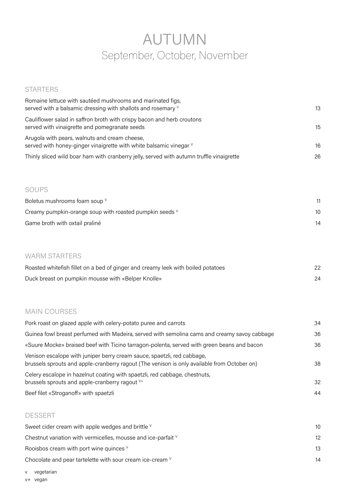# AUTUMN September, October, November

# STARTERS

| Romaine lettuce with sautéed mushrooms and marinated figs,<br>served with a balsamic dressing with shallots and rosemary V                                             | 13 |
|------------------------------------------------------------------------------------------------------------------------------------------------------------------------|----|
| Cauliflower salad in saffron broth with crispy bacon and herb croutons                                                                                                 |    |
| served with vinaigrette and pomegranate seeds                                                                                                                          | 15 |
| Arugola with pears, walnuts and cream cheese,<br>served with honey-ginger vinaigrette with white balsamic vinegar V                                                    | 16 |
| Thinly sliced wild boar ham with cranberry jelly, served with autumn truffle vinaigrette                                                                               | 26 |
| <b>SOUPS</b>                                                                                                                                                           |    |
| Boletus mushrooms foam soup V                                                                                                                                          | 11 |
| Creamy pumpkin-orange soup with roasted pumpkin seeds V                                                                                                                | 10 |
| Game broth with oxtail praliné                                                                                                                                         | 14 |
| <b>WARM STARTERS</b>                                                                                                                                                   |    |
| Roasted whitefish fillet on a bed of ginger and creamy leek with boiled potatoes                                                                                       | 22 |
| Duck breast on pumpkin mousse with «Belper Knolle»                                                                                                                     | 24 |
| <b>MAIN COURSES</b>                                                                                                                                                    |    |
| Pork roast on glazed apple with celery-potato puree and carrots                                                                                                        | 34 |
| Guinea fowl breast perfumed with Madeira, served with semolina cams and creamy savoy cabbage                                                                           | 36 |
| «Suure Mocke» braised beef with Ticino tarragon-polenta, served with green beans and bacon                                                                             | 36 |
| Venison escalope with juniper berry cream sauce, spaetzli, red cabbage,<br>brussels sprouts and apple-cranberry ragout (The venison is only available from October on) | 38 |
| Celery escalope in hazelnut coating with spaetzli, red cabbage, chestnuts,<br>brussels sprouts and apple-cranberry ragout V+                                           | 32 |
| Beef filet «Stroganoff» with spaetzli                                                                                                                                  | 44 |
| <b>DESSERT</b>                                                                                                                                                         |    |
| Sweet cider cream with apple wedges and brittle V                                                                                                                      | 10 |
| Chestnut variation with vermicelles, mousse and ice-parfait V                                                                                                          | 12 |
| Rooisbos cream with port wine quinces V                                                                                                                                | 13 |
| Chocolate and pear tartelette with sour cream ice-cream V                                                                                                              | 14 |
| vegetarian<br>V<br>v+ vegan                                                                                                                                            |    |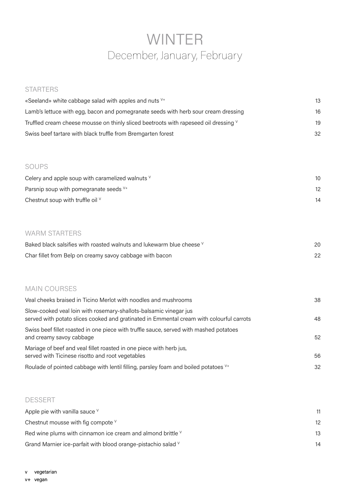# WINTER December, January, February

# **STARTERS**

| «Seeland» white cabbage salad with apples and nuts V <sup>+</sup>                    | 13  |
|--------------------------------------------------------------------------------------|-----|
| Lamb's lettuce with egg, bacon and pomegranate seeds with herb sour cream dressing   | 16  |
| Truffled cream cheese mousse on thinly sliced beetroots with rapeseed oil dressing V | 19  |
| Swiss beef tartare with black truffle from Bremgarten forest                         | -32 |

# SOUPS

| Celery and apple soup with caramelized walnuts $\vee$ |    |
|-------------------------------------------------------|----|
| Parsnip soup with pomegranate seeds $V^+$             |    |
| Chestnut soup with truffle oil $\vee$                 | 14 |

# WARM STARTERS

| Baked black salsifies with roasted walnuts and lukewarm blue cheese V | 20 |
|-----------------------------------------------------------------------|----|
| Char fillet from Belp on creamy savoy cabbage with bacon              | 22 |

# MAIN COURSES

| Veal cheeks braised in Ticino Merlot with noodles and mushrooms                                                                                               | 38 |
|---------------------------------------------------------------------------------------------------------------------------------------------------------------|----|
| Slow-cooked veal loin with rosemary-shallots-balsamic vinegar jus<br>served with potato slices cooked and gratinated in Emmental cream with colourful carrots | 48 |
| Swiss beef fillet roasted in one piece with truffle sauce, served with mashed potatoes<br>and creamy savoy cabbage                                            | 52 |
| Mariage of beef and veal fillet roasted in one piece with herb jus,<br>served with Ticinese risotto and root vegetables                                       | 56 |
| Roulade of pointed cabbage with lentil filling, parsley foam and boiled potatoes V+                                                                           | 32 |

## DESSERT

| Apple pie with vanilla sauce $V$                              | 11 |
|---------------------------------------------------------------|----|
| Chestnut mousse with fig compote $\vee$                       | 12 |
| Red wine plums with cinnamon ice cream and almond brittle V   | 13 |
| Grand Marnier ice-parfait with blood orange-pistachio salad V | 14 |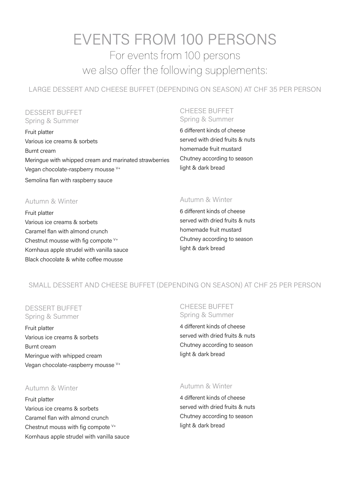# EVENTS FROM 100 PERSONS For events from 100 persons we also offer the following supplements:

LARGE DESSERT AND CHEESE BUFFET (DEPENDING ON SEASON) AT CHF 35 PER PERSON

## DESSERT BUFFET Spring & Summer

Fruit platter Various ice creams & sorbets Burnt cream Meringue with whipped cream and marinated strawberries Vegan chocolate-raspberry mousse V+ Semolina flan with raspberry sauce

#### CHEESE BUFFET Spring & Summer

6 different kinds of cheese served with dried fruits & nuts homemade fruit mustard Chutney according to season light & dark bread

# Autumn & Winter

Fruit platter Various ice creams & sorbets Caramel flan with almond crunch Chestnut mousse with fig compote  $V^+$ Kornhaus apple strudel with vanilla sauce Black chocolate & white coffee mousse

# Autumn & Winter

6 different kinds of cheese served with dried fruits & nuts homemade fruit mustard Chutney according to season light & dark bread

# SMALL DESSERT AND CHEESE BUFFET (DEPENDING ON SEASON) AT CHF 25 PER PERSON

## DESSERT BUFFET Spring & Summer

Fruit platter Various ice creams & sorbets Burnt cream Meringue with whipped cream Vegan chocolate-raspberry mousse V+

# CHEESE BUFFET Spring & Summer

4 different kinds of cheese served with dried fruits & nuts Chutney according to season light & dark bread

## Autumn & Winter

Fruit platter Various ice creams & sorbets Caramel flan with almond crunch Chestnut mouss with fig compote  $V^+$ Kornhaus apple strudel with vanilla sauce

## Autumn & Winter

4 different kinds of cheese served with dried fruits & nuts Chutney according to season light & dark bread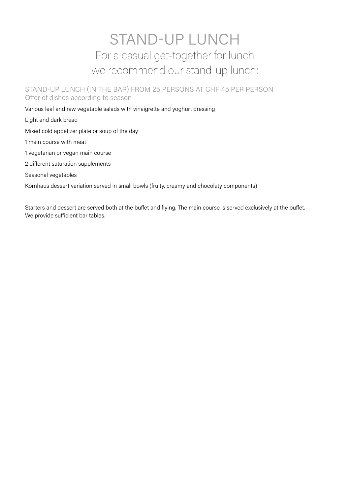# STAND-UP LUNCH For a casual get-together for lunch we recommend our stand-up lunch:

STAND-UP LUNCH (IN THE BAR) FROM 25 PERSONS AT CHF 45 PER PERSON Offer of dishes according to season

Various leaf and raw vegetable salads with vinaigrette and yoghurt dressing

Light and dark bread

Mixed cold appetizer plate or soup of the day

1 main course with meat

1 vegetarian or vegan main course

2 different saturation supplements

Seasonal vegetables

Kornhaus dessert variation served in small bowls (fruity, creamy and chocolaty components)

Starters and dessert are served both at the buffet and flying. The main course is served exclusively at the buffet. We provide sufficient bar tables.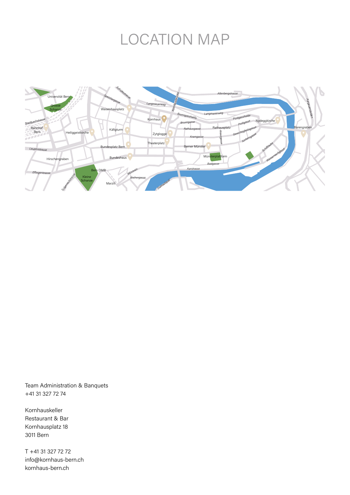# LOCATION MAP



Team Administration & Banquets +41 31 327 72 74

Kornhauskeller Restaurant & Bar Kornhausplatz 18 3011 Bern

T +41 31 327 72 72 info@kornhaus-bern.ch kornhaus-bern.ch